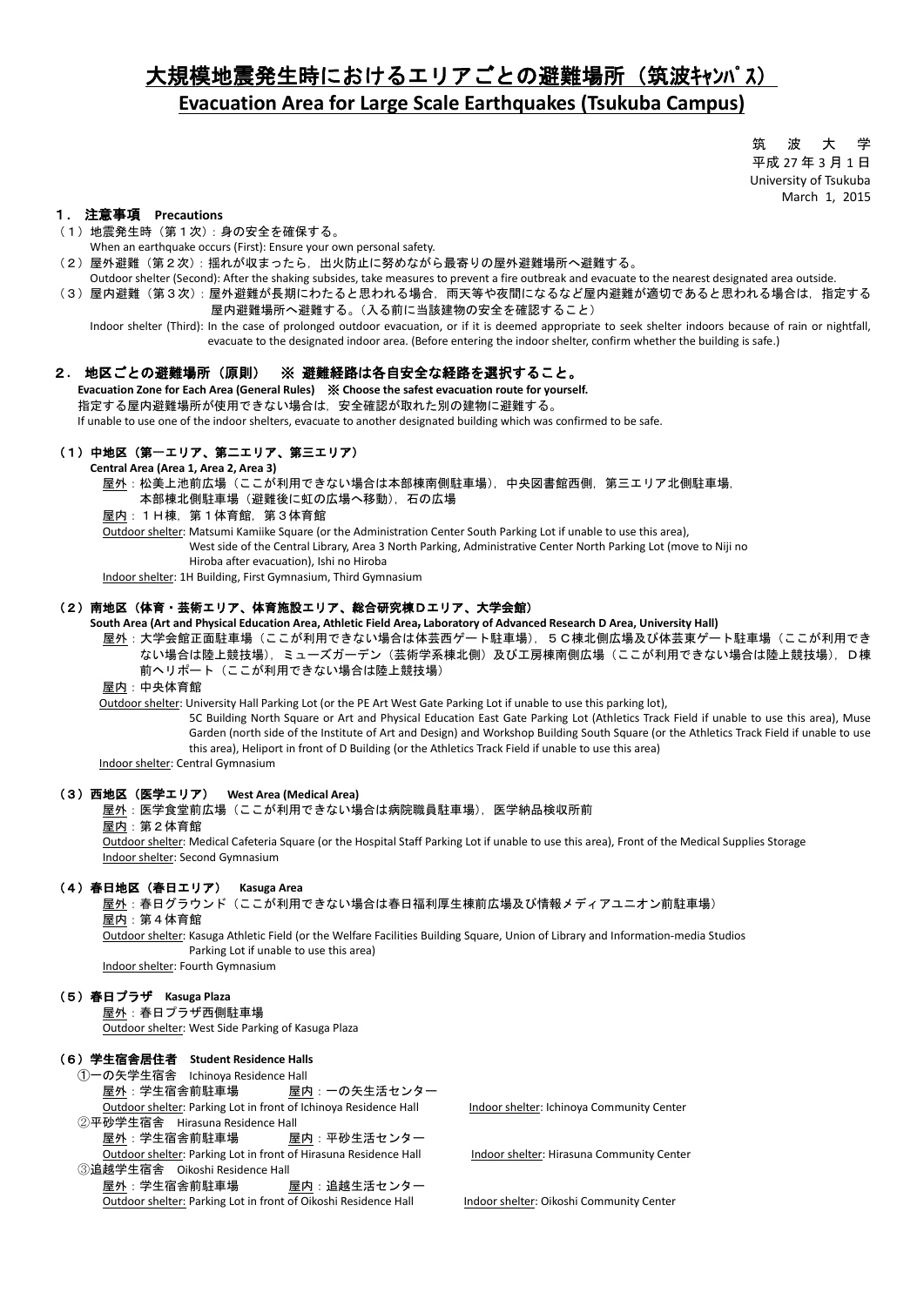# 大規模地震発生時におけるエリアごとの避難場所(筑波キャンパス) **Evacuation Area for Large Scale Earthquakes (Tsukuba Campus)**

筑 波 大 学 平成 27 年 3 月 1 日 University of Tsukuba March 1, 2015

#### 1**.** 注意事項 **Precautions**

- (1)地震発生時(第1次):身の安全を確保する。
- When an earthquake occurs (First): Ensure your own personal safety.
- (2)屋外避難(第2次):揺れが収まったら,出火防止に努めながら最寄りの屋外避難場所へ避難する。
- Outdoor shelter (Second): After the shaking subsides, take measures to prevent a fire outbreak and evacuate to the nearest designated area outside.
- (3) 屋内避難(第3次):屋外避難が長期にわたると思われる場合,雨天等や夜間になるなど屋内避難が適切であると思われる場合は,指定する 屋内避難場所へ避難する。(入る前に当該建物の安全を確認すること)

 Indoor shelter (Third): In the case of prolonged outdoor evacuation, or if it is deemed appropriate to seek shelter indoors because of rain or nightfall, evacuate to the designated indoor area. (Before entering the indoor shelter, confirm whether the building is safe.)

#### 2**.** 地区ごとの避難場所(原則) ※ 避難経路は各自安全な経路を選択すること。

 **Evacuation Zone for Each Area (General Rules)** ※ **Choose the safest evacuation route for yourself.** 指定する屋内避難場所が使用できない場合は,安全確認が取れた別の建物に避難する。

If unable to use one of the indoor shelters, evacuate to another designated building which was confirmed to be safe.

### (1)中地区(第一エリア、第二エリア、第三エリア)

**Central Area (Area 1, Area 2, Area 3)**

 屋外:松美上池前広場(ここが利用できない場合は本部棟南側駐車場),中央図書館西側,第三エリア北側駐車場, 本部棟北側駐車場(避難後に虹の広場へ移動),石の広場

屋内:1H棟,第1体育館,第3体育館

 Outdoor shelter: Matsumi Kamiike Square (or the Administration Center South Parking Lot if unable to use this area), West side of the Central Library, Area 3 North Parking, Administrative Center North Parking Lot (move to Niji no

Hiroba after evacuation), Ishi no Hiroba

Indoor shelter: 1H Building, First Gymnasium, Third Gymnasium

#### (2)南地区(体育・芸術エリア、体育施設エリア、総合研究棟Dエリア、大学会館)

**South Area (Art and Physical Education Area, Athletic Field Area, Laboratory of Advanced Research D Area, University Hall)**

屋外:大学会館正面駐車場(ここが利用できない場合は体芸西ゲート駐車場),5C棟北側広場及び体芸東ゲート駐車場(ここが利用でき ない場合は陸上競技場),ミューズガーデン(芸術学系棟北側)及び工房棟南側広場(ここが利用できない場合は陸上競技場),D棟 前ヘリポート(ここが利用できない場合は陸上競技場)

屋内:中央体育館

Outdoor shelter: University Hall Parking Lot (or the PE Art West Gate Parking Lot if unable to use this parking lot),

 5C Building North Square or Art and Physical Education East Gate Parking Lot (Athletics Track Field if unable to use this area), Muse Garden (north side of the Institute of Art and Design) and Workshop Building South Square (or the Athletics Track Field if unable to use this area), Heliport in front of D Building (or the Athletics Track Field if unable to use this area)

Indoor shelter: Central Gymnasium

# (3)西地区(医学エリア) **West Area (Medical Area)**

屋外:医学食堂前広場(ここが利用できない場合は病院職員駐車場),医学納品検収所前

屋内:第2体育館

 Outdoor shelter: Medical Cafeteria Square (or the Hospital Staff Parking Lot if unable to use this area), Front of the Medical Supplies Storage Indoor shelter: Second Gymnasium

#### (4)春日地区(春日エリア) **Kasuga Area**

 屋外:春日グラウンド(ここが利用できない場合は春日福利厚生棟前広場及び情報メディアユニオン前駐車場) 屋内:第4体育館

 Outdoor shelter: Kasuga Athletic Field (or the Welfare Facilities Building Square, Union of Library and Information-media Studios Parking Lot if unable to use this area)

Indoor shelter: Fourth Gymnasium

#### (5)春日プラザ **Kasuga Plaza**

 屋外:春日プラザ西側駐車場 Outdoor shelter: West Side Parking of Kasuga Plaza

# (6)学生宿舎居住者 **Student Residence Halls**

 ①一の矢学生宿舎 Ichinoya Residence Hall 屋外:学生宿舎前駐車場 屋内:一の矢生活センター Outdoor shelter: Parking Lot in front of Ichinoya Residence Hall Indoor shelter: Ichinoya Community Center

 ②平砂学生宿舎 Hirasuna Residence Hall 屋外:学生宿舎前駐車場 屋内:平砂生活センター Outdoor shelter: Parking Lot in front of Hirasuna Residence Hall Indoor shelter: Hirasuna Community Center

 ③追越学生宿舎 Oikoshi Residence Hall 屋外:学生宿舎前駐車場 屋内:追越生活センター Outdoor shelter: Parking Lot in front of Oikoshi Residence Hall Indoor shelter: Oikoshi Community Center